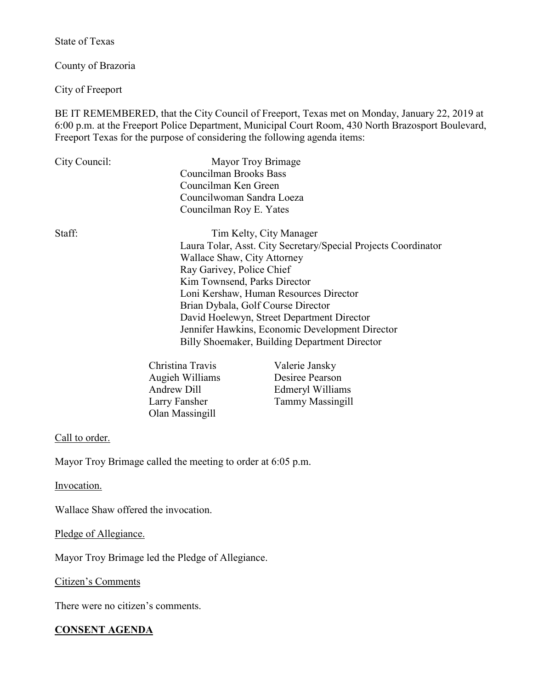State of Texas

County of Brazoria

City of Freeport

BE IT REMEMBERED, that the City Council of Freeport, Texas met on Monday, January 22, 2019 at 6:00 p.m. at the Freeport Police Department, Municipal Court Room, 430 North Brazosport Boulevard, Freeport Texas for the purpose of considering the following agenda items:

| City Council: | Mayor Troy Brimage                                             |
|---------------|----------------------------------------------------------------|
|               | <b>Councilman Brooks Bass</b>                                  |
|               | Councilman Ken Green                                           |
|               | Councilwoman Sandra Loeza                                      |
|               | Councilman Roy E. Yates                                        |
| Staff:        | Tim Kelty, City Manager                                        |
|               | Laura Tolar, Asst. City Secretary/Special Projects Coordinator |
|               | Wallace Shaw, City Attorney                                    |
|               | Ray Garivey, Police Chief                                      |
|               | Kim Townsend, Parks Director                                   |
|               | Loni Kershaw, Human Resources Director                         |
|               | Brian Dybala, Golf Course Director                             |
|               | David Hoelewyn, Street Department Director                     |
|               | Jennifer Hawkins, Economic Development Director                |
|               | Billy Shoemaker, Building Department Director                  |
|               |                                                                |

| Valerie Jansky          |
|-------------------------|
| Desiree Pearson         |
| Edmeryl Williams        |
| <b>Tammy Massingill</b> |
|                         |
|                         |

### Call to order.

Mayor Troy Brimage called the meeting to order at 6:05 p.m.

Invocation.

Wallace Shaw offered the invocation.

Pledge of Allegiance.

Mayor Troy Brimage led the Pledge of Allegiance.

Citizen's Comments

There were no citizen's comments.

# **CONSENT AGENDA**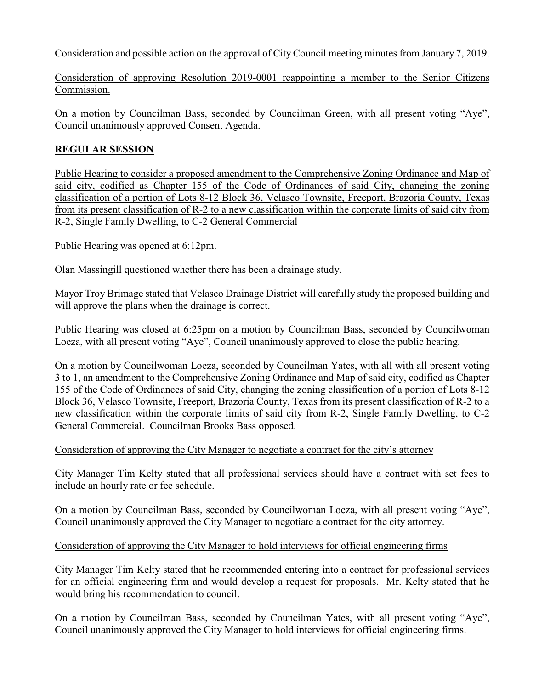Consideration and possible action on the approval of City Council meeting minutes from January 7, 2019.

Consideration of approving Resolution 2019-0001 reappointing a member to the Senior Citizens Commission.

On a motion by Councilman Bass, seconded by Councilman Green, with all present voting "Aye", Council unanimously approved Consent Agenda.

# **REGULAR SESSION**

Public Hearing to consider a proposed amendment to the Comprehensive Zoning Ordinance and Map of said city, codified as Chapter 155 of the Code of Ordinances of said City, changing the zoning classification of a portion of Lots 8-12 Block 36, Velasco Townsite, Freeport, Brazoria County, Texas from its present classification of R-2 to a new classification within the corporate limits of said city from R-2, Single Family Dwelling, to C-2 General Commercial

Public Hearing was opened at 6:12pm.

Olan Massingill questioned whether there has been a drainage study.

Mayor Troy Brimage stated that Velasco Drainage District will carefully study the proposed building and will approve the plans when the drainage is correct.

Public Hearing was closed at 6:25pm on a motion by Councilman Bass, seconded by Councilwoman Loeza, with all present voting "Aye", Council unanimously approved to close the public hearing.

On a motion by Councilwoman Loeza, seconded by Councilman Yates, with all with all present voting 3 to 1, an amendment to the Comprehensive Zoning Ordinance and Map of said city, codified as Chapter 155 of the Code of Ordinances of said City, changing the zoning classification of a portion of Lots 8-12 Block 36, Velasco Townsite, Freeport, Brazoria County, Texas from its present classification of R-2 to a new classification within the corporate limits of said city from R-2, Single Family Dwelling, to C-2 General Commercial. Councilman Brooks Bass opposed.

#### Consideration of approving the City Manager to negotiate a contract for the city's attorney

City Manager Tim Kelty stated that all professional services should have a contract with set fees to include an hourly rate or fee schedule.

On a motion by Councilman Bass, seconded by Councilwoman Loeza, with all present voting "Aye", Council unanimously approved the City Manager to negotiate a contract for the city attorney.

# Consideration of approving the City Manager to hold interviews for official engineering firms

City Manager Tim Kelty stated that he recommended entering into a contract for professional services for an official engineering firm and would develop a request for proposals. Mr. Kelty stated that he would bring his recommendation to council.

On a motion by Councilman Bass, seconded by Councilman Yates, with all present voting "Aye", Council unanimously approved the City Manager to hold interviews for official engineering firms.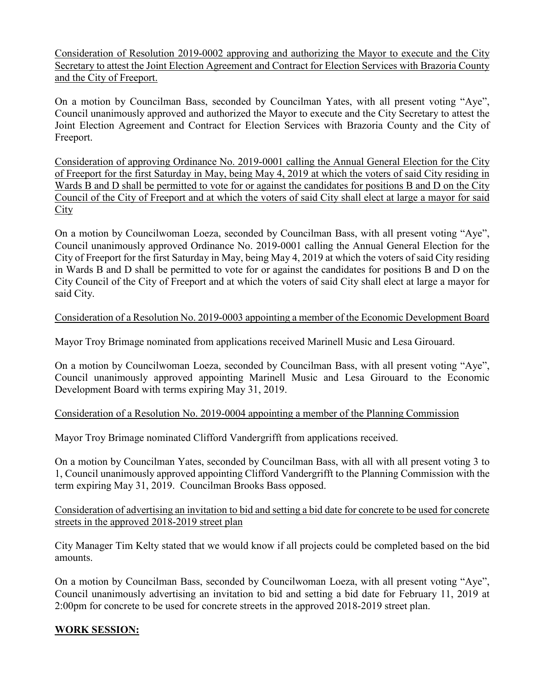Consideration of Resolution 2019-0002 approving and authorizing the Mayor to execute and the City Secretary to attest the Joint Election Agreement and Contract for Election Services with Brazoria County and the City of Freeport.

On a motion by Councilman Bass, seconded by Councilman Yates, with all present voting "Aye", Council unanimously approved and authorized the Mayor to execute and the City Secretary to attest the Joint Election Agreement and Contract for Election Services with Brazoria County and the City of Freeport.

Consideration of approving Ordinance No. 2019-0001 calling the Annual General Election for the City of Freeport for the first Saturday in May, being May 4, 2019 at which the voters of said City residing in Wards B and D shall be permitted to vote for or against the candidates for positions B and D on the City Council of the City of Freeport and at which the voters of said City shall elect at large a mayor for said **City** 

On a motion by Councilwoman Loeza, seconded by Councilman Bass, with all present voting "Aye", Council unanimously approved Ordinance No. 2019-0001 calling the Annual General Election for the City of Freeport for the first Saturday in May, being May 4, 2019 at which the voters of said City residing in Wards B and D shall be permitted to vote for or against the candidates for positions B and D on the City Council of the City of Freeport and at which the voters of said City shall elect at large a mayor for said City.

### Consideration of a Resolution No. 2019-0003 appointing a member of the Economic Development Board

Mayor Troy Brimage nominated from applications received Marinell Music and Lesa Girouard.

On a motion by Councilwoman Loeza, seconded by Councilman Bass, with all present voting "Aye", Council unanimously approved appointing Marinell Music and Lesa Girouard to the Economic Development Board with terms expiring May 31, 2019.

# Consideration of a Resolution No. 2019-0004 appointing a member of the Planning Commission

Mayor Troy Brimage nominated Clifford Vandergrifft from applications received.

On a motion by Councilman Yates, seconded by Councilman Bass, with all with all present voting 3 to 1, Council unanimously approved appointing Clifford Vandergrifft to the Planning Commission with the term expiring May 31, 2019. Councilman Brooks Bass opposed.

Consideration of advertising an invitation to bid and setting a bid date for concrete to be used for concrete streets in the approved 2018-2019 street plan

City Manager Tim Kelty stated that we would know if all projects could be completed based on the bid amounts.

On a motion by Councilman Bass, seconded by Councilwoman Loeza, with all present voting "Aye", Council unanimously advertising an invitation to bid and setting a bid date for February 11, 2019 at 2:00pm for concrete to be used for concrete streets in the approved 2018-2019 street plan.

# **WORK SESSION:**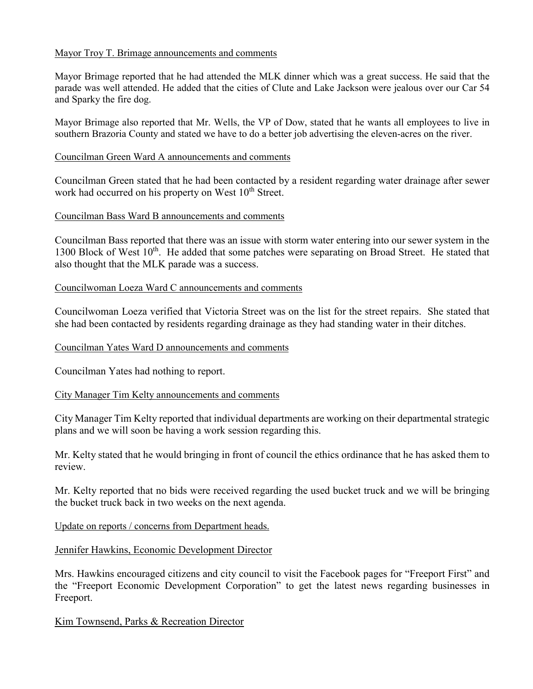#### Mayor Troy T. Brimage announcements and comments

Mayor Brimage reported that he had attended the MLK dinner which was a great success. He said that the parade was well attended. He added that the cities of Clute and Lake Jackson were jealous over our Car 54 and Sparky the fire dog.

Mayor Brimage also reported that Mr. Wells, the VP of Dow, stated that he wants all employees to live in southern Brazoria County and stated we have to do a better job advertising the eleven-acres on the river.

#### Councilman Green Ward A announcements and comments

Councilman Green stated that he had been contacted by a resident regarding water drainage after sewer work had occurred on his property on West  $10<sup>th</sup>$  Street.

#### Councilman Bass Ward B announcements and comments

Councilman Bass reported that there was an issue with storm water entering into our sewer system in the 1300 Block of West 10<sup>th</sup>. He added that some patches were separating on Broad Street. He stated that also thought that the MLK parade was a success.

#### Councilwoman Loeza Ward C announcements and comments

Councilwoman Loeza verified that Victoria Street was on the list for the street repairs. She stated that she had been contacted by residents regarding drainage as they had standing water in their ditches.

#### Councilman Yates Ward D announcements and comments

Councilman Yates had nothing to report.

#### City Manager Tim Kelty announcements and comments

City Manager Tim Kelty reported that individual departments are working on their departmental strategic plans and we will soon be having a work session regarding this.

Mr. Kelty stated that he would bringing in front of council the ethics ordinance that he has asked them to review.

Mr. Kelty reported that no bids were received regarding the used bucket truck and we will be bringing the bucket truck back in two weeks on the next agenda.

#### Update on reports / concerns from Department heads.

#### Jennifer Hawkins, Economic Development Director

Mrs. Hawkins encouraged citizens and city council to visit the Facebook pages for "Freeport First" and the "Freeport Economic Development Corporation" to get the latest news regarding businesses in Freeport.

Kim Townsend, Parks & Recreation Director